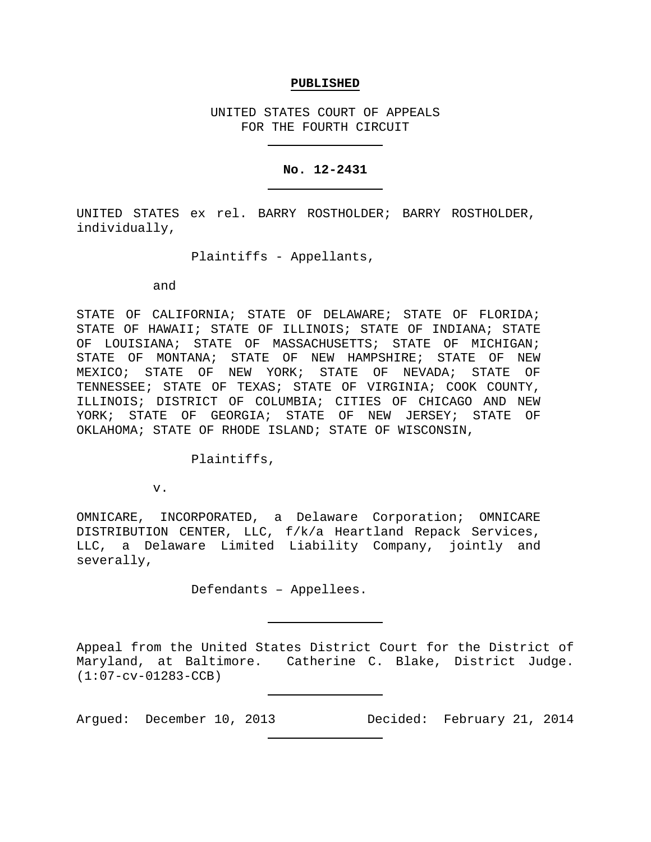### **PUBLISHED**

UNITED STATES COURT OF APPEALS FOR THE FOURTH CIRCUIT

### **No. 12-2431**

UNITED STATES ex rel. BARRY ROSTHOLDER; BARRY ROSTHOLDER, individually,

Plaintiffs - Appellants,

and

STATE OF CALIFORNIA; STATE OF DELAWARE; STATE OF FLORIDA; STATE OF HAWAII; STATE OF ILLINOIS; STATE OF INDIANA; STATE OF LOUISIANA; STATE OF MASSACHUSETTS; STATE OF MICHIGAN; STATE OF MONTANA; STATE OF NEW HAMPSHIRE; STATE OF NEW MEXICO; STATE OF NEW YORK; STATE OF NEVADA; STATE OF TENNESSEE; STATE OF TEXAS; STATE OF VIRGINIA; COOK COUNTY, ILLINOIS; DISTRICT OF COLUMBIA; CITIES OF CHICAGO AND NEW YORK; STATE OF GEORGIA; STATE OF NEW JERSEY; STATE OF OKLAHOMA; STATE OF RHODE ISLAND; STATE OF WISCONSIN,

Plaintiffs,

v.

OMNICARE, INCORPORATED, a Delaware Corporation; OMNICARE DISTRIBUTION CENTER, LLC, f/k/a Heartland Repack Services, LLC, a Delaware Limited Liability Company, jointly and severally,

Defendants – Appellees.

Appeal from the United States District Court for the District of Maryland, at Baltimore. Catherine C. Blake, District Judge. (1:07-cv-01283-CCB)

Argued: December 10, 2013 Decided: February 21, 2014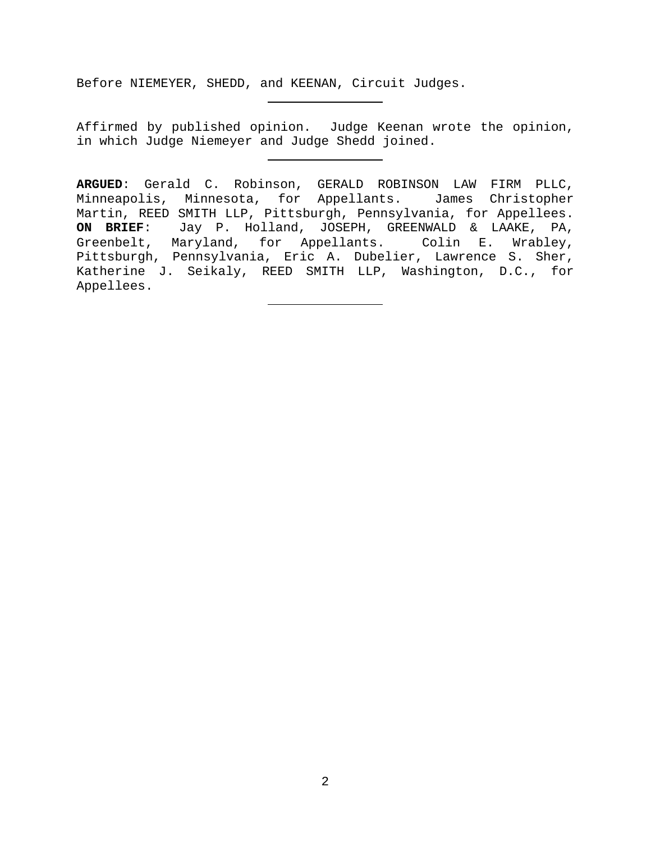Before NIEMEYER, SHEDD, and KEENAN, Circuit Judges.

Affirmed by published opinion. Judge Keenan wrote the opinion, in which Judge Niemeyer and Judge Shedd joined.

**ARGUED**: Gerald C. Robinson, GERALD ROBINSON LAW FIRM PLLC, Minneapolis, Minnesota, for Appellants. James Christopher Martin, REED SMITH LLP, Pittsburgh, Pennsylvania, for Appellees. **ON BRIEF**: Jay P. Holland, JOSEPH, GREENWALD & LAAKE, PA, Greenbelt, Maryland, for Appellants. Colin E. Wrabley, Pittsburgh, Pennsylvania, Eric A. Dubelier, Lawrence S. Sher, Katherine J. Seikaly, REED SMITH LLP, Washington, D.C., for Appellees.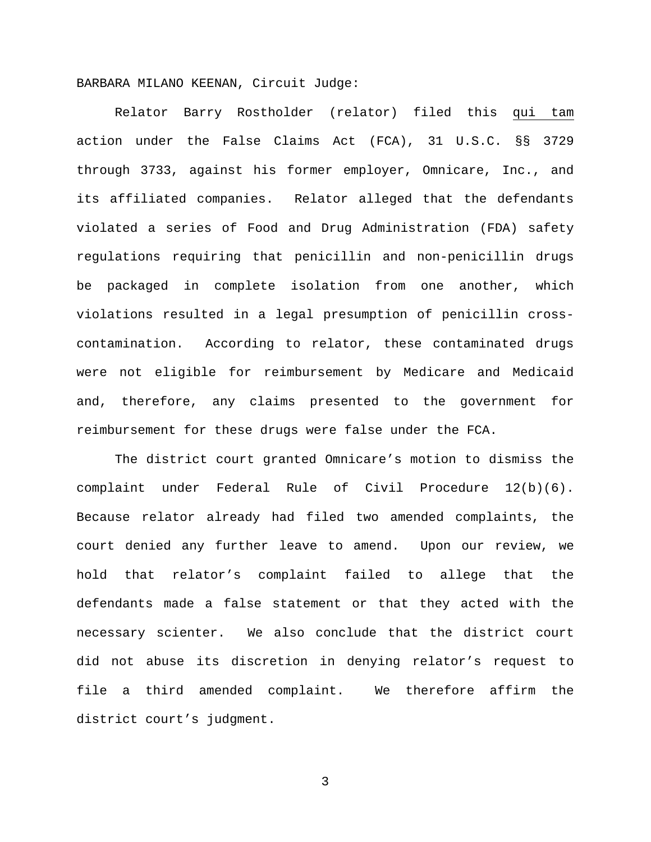BARBARA MILANO KEENAN, Circuit Judge:

Relator Barry Rostholder (relator) filed this qui tam action under the False Claims Act (FCA), 31 U.S.C. §§ 3729 through 3733, against his former employer, Omnicare, Inc., and its affiliated companies. Relator alleged that the defendants violated a series of Food and Drug Administration (FDA) safety regulations requiring that penicillin and non-penicillin drugs be packaged in complete isolation from one another, which violations resulted in a legal presumption of penicillin crosscontamination. According to relator, these contaminated drugs were not eligible for reimbursement by Medicare and Medicaid and, therefore, any claims presented to the government for reimbursement for these drugs were false under the FCA.

The district court granted Omnicare's motion to dismiss the complaint under Federal Rule of Civil Procedure 12(b)(6). Because relator already had filed two amended complaints, the court denied any further leave to amend. Upon our review, we hold that relator's complaint failed to allege that the defendants made a false statement or that they acted with the necessary scienter. We also conclude that the district court did not abuse its discretion in denying relator's request to file a third amended complaint. We therefore affirm the district court's judgment.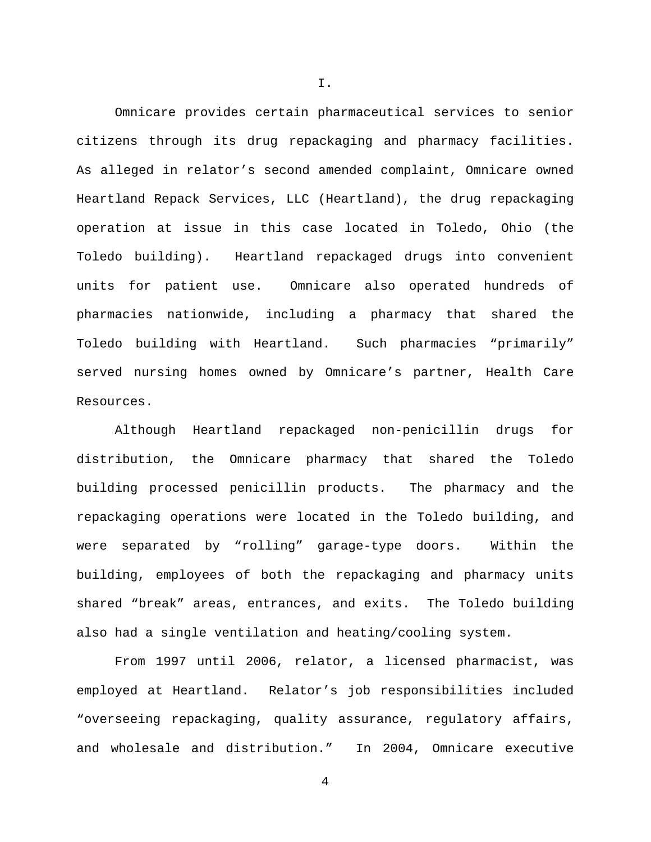Omnicare provides certain pharmaceutical services to senior citizens through its drug repackaging and pharmacy facilities. As alleged in relator's second amended complaint, Omnicare owned Heartland Repack Services, LLC (Heartland), the drug repackaging operation at issue in this case located in Toledo, Ohio (the Toledo building). Heartland repackaged drugs into convenient units for patient use. Omnicare also operated hundreds of pharmacies nationwide, including a pharmacy that shared the Toledo building with Heartland. Such pharmacies "primarily" served nursing homes owned by Omnicare's partner, Health Care Resources.

Although Heartland repackaged non-penicillin drugs for distribution, the Omnicare pharmacy that shared the Toledo building processed penicillin products. The pharmacy and the repackaging operations were located in the Toledo building, and were separated by "rolling" garage-type doors. Within the building, employees of both the repackaging and pharmacy units shared "break" areas, entrances, and exits. The Toledo building also had a single ventilation and heating/cooling system.

From 1997 until 2006, relator, a licensed pharmacist, was employed at Heartland. Relator's job responsibilities included "overseeing repackaging, quality assurance, regulatory affairs, and wholesale and distribution." In 2004, Omnicare executive

4

I.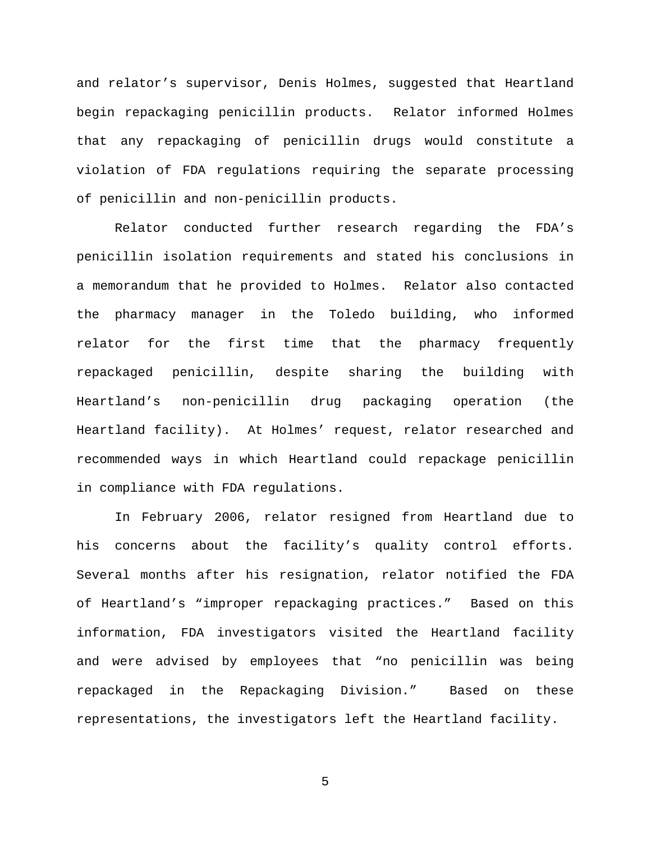and relator's supervisor, Denis Holmes, suggested that Heartland begin repackaging penicillin products. Relator informed Holmes that any repackaging of penicillin drugs would constitute a violation of FDA regulations requiring the separate processing of penicillin and non-penicillin products.

Relator conducted further research regarding the FDA's penicillin isolation requirements and stated his conclusions in a memorandum that he provided to Holmes. Relator also contacted the pharmacy manager in the Toledo building, who informed relator for the first time that the pharmacy frequently repackaged penicillin, despite sharing the building with Heartland's non-penicillin drug packaging operation (the Heartland facility). At Holmes' request, relator researched and recommended ways in which Heartland could repackage penicillin in compliance with FDA regulations.

In February 2006, relator resigned from Heartland due to his concerns about the facility's quality control efforts. Several months after his resignation, relator notified the FDA of Heartland's "improper repackaging practices." Based on this information, FDA investigators visited the Heartland facility and were advised by employees that "no penicillin was being repackaged in the Repackaging Division." Based on these representations, the investigators left the Heartland facility.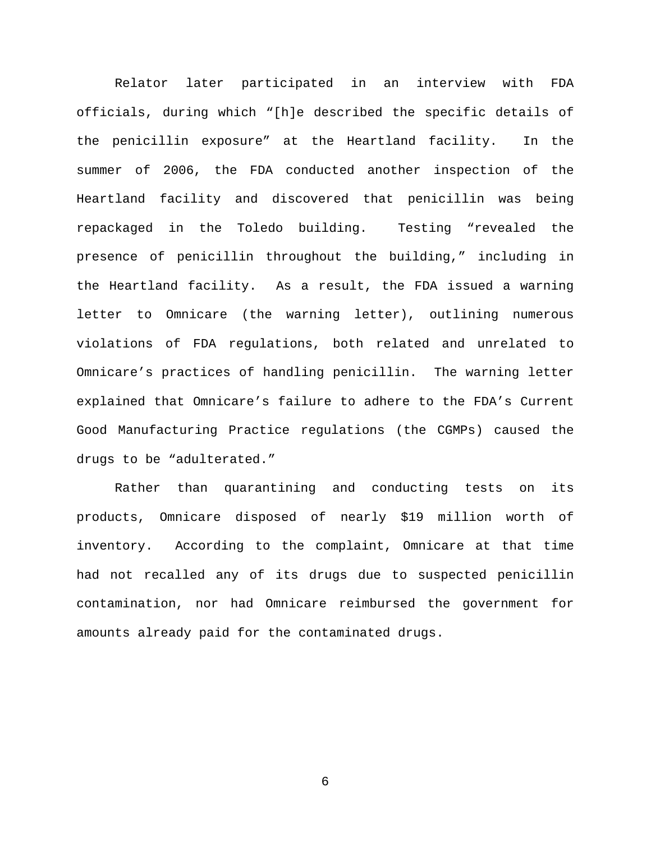Relator later participated in an interview with FDA officials, during which "[h]e described the specific details of the penicillin exposure" at the Heartland facility. In the summer of 2006, the FDA conducted another inspection of the Heartland facility and discovered that penicillin was being repackaged in the Toledo building. Testing "revealed the presence of penicillin throughout the building," including in the Heartland facility. As a result, the FDA issued a warning letter to Omnicare (the warning letter), outlining numerous violations of FDA regulations, both related and unrelated to Omnicare's practices of handling penicillin. The warning letter explained that Omnicare's failure to adhere to the FDA's Current Good Manufacturing Practice regulations (the CGMPs) caused the drugs to be "adulterated."

Rather than quarantining and conducting tests on its products, Omnicare disposed of nearly \$19 million worth of inventory. According to the complaint, Omnicare at that time had not recalled any of its drugs due to suspected penicillin contamination, nor had Omnicare reimbursed the government for amounts already paid for the contaminated drugs.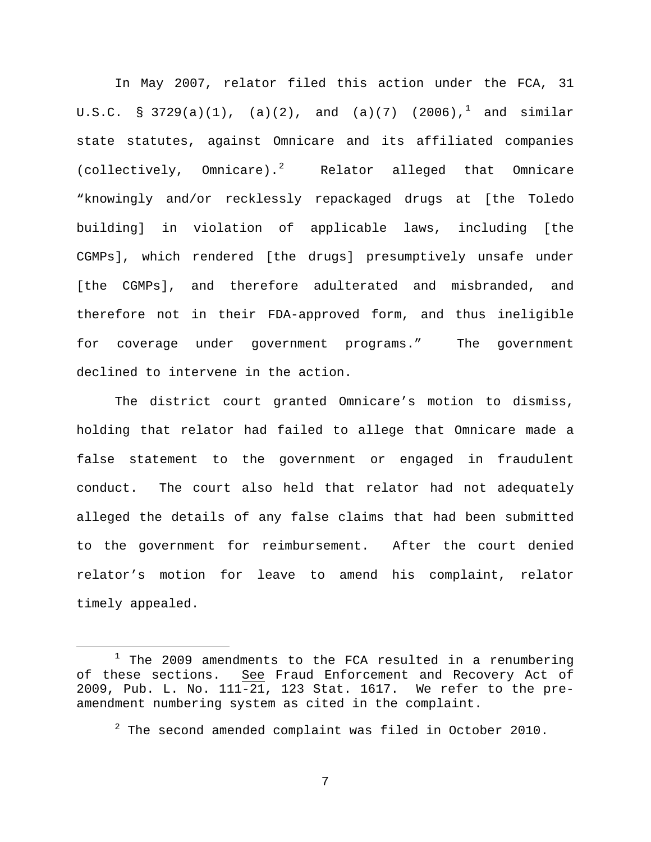In May 2007, relator filed this action under the FCA, 31 U.S.C. § 3729(a)([1](#page-6-0)), (a)(2), and (a)(7) (2006),<sup>1</sup> and similar state statutes, against Omnicare and its affiliated companies (collectively, Omnicare).[2](#page-6-1) Relator alleged that Omnicare "knowingly and/or recklessly repackaged drugs at [the Toledo building] in violation of applicable laws, including [the CGMPs], which rendered [the drugs] presumptively unsafe under [the CGMPs], and therefore adulterated and misbranded, and therefore not in their FDA-approved form, and thus ineligible for coverage under government programs." The government declined to intervene in the action.

The district court granted Omnicare's motion to dismiss, holding that relator had failed to allege that Omnicare made a false statement to the government or engaged in fraudulent conduct. The court also held that relator had not adequately alleged the details of any false claims that had been submitted to the government for reimbursement. After the court denied relator's motion for leave to amend his complaint, relator timely appealed.

<span id="page-6-1"></span><span id="page-6-0"></span> $1$  The 2009 amendments to the FCA resulted in a renumbering of these sections. See Fraud Enforcement and Recovery Act of 2009, Pub. L. No. 111-21, 123 Stat. 1617. We refer to the preamendment numbering system as cited in the complaint.

 $2$  The second amended complaint was filed in October 2010.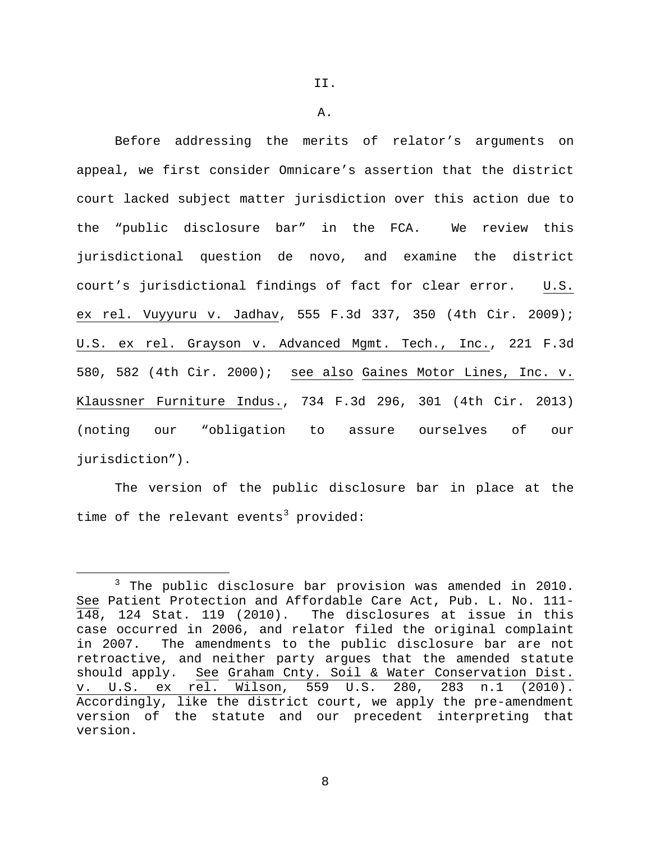A.

Before addressing the merits of relator's arguments on appeal, we first consider Omnicare's assertion that the district court lacked subject matter jurisdiction over this action due to the "public disclosure bar" in the FCA. We review this jurisdictional question de novo, and examine the district court's jurisdictional findings of fact for clear error. U.S. ex rel. Vuyyuru v. Jadhav, 555 F.3d 337, 350 (4th Cir. 2009); U.S. ex rel. Grayson v. Advanced Mgmt. Tech., Inc., 221 F.3d 580, 582 (4th Cir. 2000); see also Gaines Motor Lines, Inc. v. Klaussner Furniture Indus., 734 F.3d 296, 301 (4th Cir. 2013) (noting our "obligation to assure ourselves of our jurisdiction").

The version of the public disclosure bar in place at the time of the relevant events<sup>[3](#page-7-0)</sup> provided:

<span id="page-7-0"></span> $3$  The public disclosure bar provision was amended in 2010. See Patient Protection and Affordable Care Act, Pub. L. No. 111- 148, 124 Stat. 119 (2010). The disclosures at issue in this case occurred in 2006, and relator filed the original complaint in 2007. The amendments to the public disclosure bar are not retroactive, and neither party argues that the amended statute should apply. See Graham Cnty. Soil & Water Conservation Dist. v. U.S. ex rel. Wilson, 559 U.S. 280, 283 n.1 (2010). Accordingly, like the district court, we apply the pre-amendment version of the statute and our precedent interpreting that version.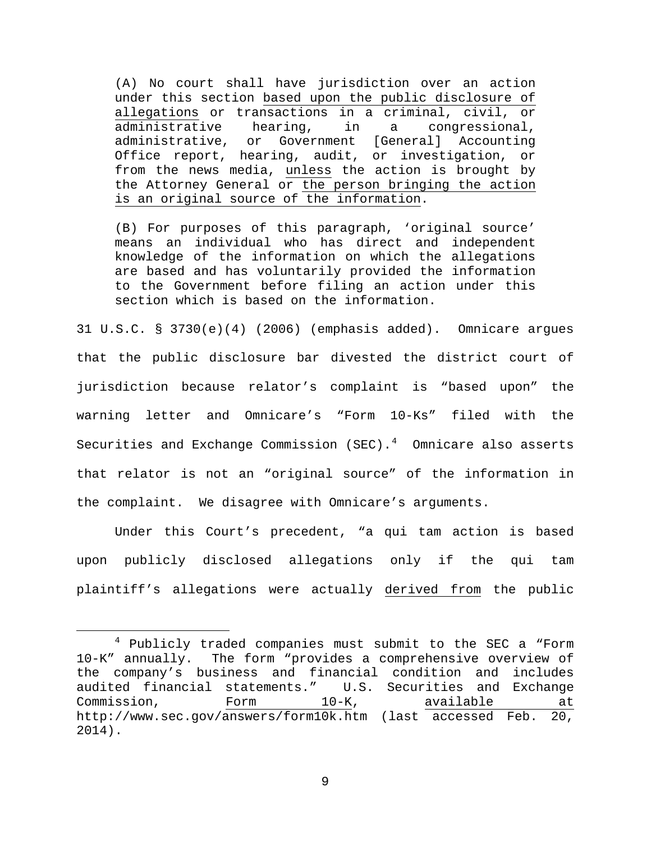(A) No court shall have jurisdiction over an action under this section based upon the public disclosure of allegations or transactions in a criminal, civil, or<br>administrative hearing, in a congressional, administrative hearing, in a congressional,<br>administrative, or Government [General] Accounting Government [General] Office report, hearing, audit, or investigation, or from the news media, unless the action is brought by the Attorney General or the person bringing the action is an original source of the information.

(B) For purposes of this paragraph, 'original source' means an individual who has direct and independent knowledge of the information on which the allegations are based and has voluntarily provided the information to the Government before filing an action under this section which is based on the information.

31 U.S.C. § 3730(e)(4) (2006) (emphasis added). Omnicare argues that the public disclosure bar divested the district court of jurisdiction because relator's complaint is "based upon" the warning letter and Omnicare's "Form 10-Ks" filed with the Securities and Exchange Commission (SEC).<sup>[4](#page-8-0)</sup> Omnicare also asserts that relator is not an "original source" of the information in the complaint. We disagree with Omnicare's arguments.

Under this Court's precedent, "a qui tam action is based upon publicly disclosed allegations only if the qui tam plaintiff's allegations were actually derived from the public

<span id="page-8-0"></span> <sup>4</sup> Publicly traded companies must submit to the SEC a "Form 10-K" annually. The form "provides a comprehensive overview of the company's business and financial condition and includes audited financial statements." U.S. Securities and Exchange<br>Commission, Form 10-K, available at Commission, http://www.sec.gov/answers/form10k.htm (last accessed Feb. 20, 2014).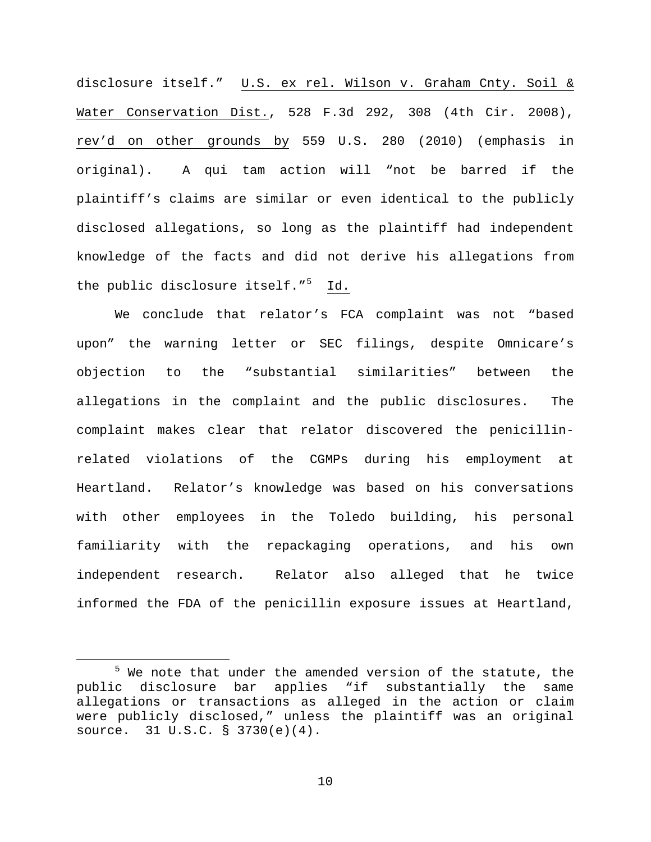disclosure itself." U.S. ex rel. Wilson v. Graham Cnty. Soil & Water Conservation Dist., 528 F.3d 292, 308 (4th Cir. 2008), rev'd on other grounds by 559 U.S. 280 (2010) (emphasis in original). A qui tam action will "not be barred if the plaintiff's claims are similar or even identical to the publicly disclosed allegations, so long as the plaintiff had independent knowledge of the facts and did not derive his allegations from the public disclosure itself."<sup>[5](#page-9-0)</sup> Id.

We conclude that relator's FCA complaint was not "based upon" the warning letter or SEC filings, despite Omnicare's objection to the "substantial similarities" between the allegations in the complaint and the public disclosures. The complaint makes clear that relator discovered the penicillinrelated violations of the CGMPs during his employment at Heartland. Relator's knowledge was based on his conversations with other employees in the Toledo building, his personal familiarity with the repackaging operations, and his own independent research. Relator also alleged that he twice informed the FDA of the penicillin exposure issues at Heartland,

<span id="page-9-0"></span> $5$  We note that under the amended version of the statute, the public disclosure bar applies "if substantially the same allegations or transactions as alleged in the action or claim were publicly disclosed," unless the plaintiff was an original source. 31 U.S.C. § 3730(e)(4).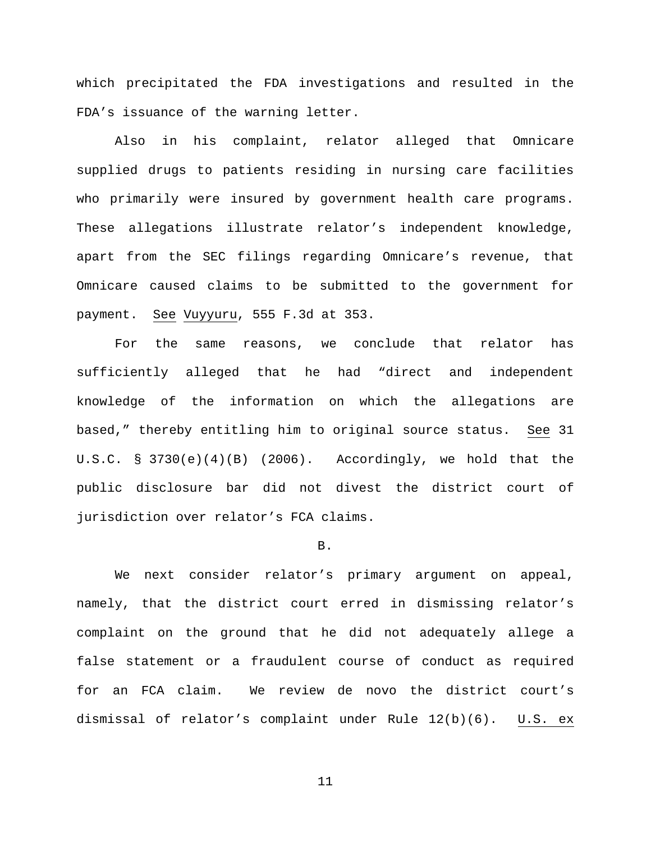which precipitated the FDA investigations and resulted in the FDA's issuance of the warning letter.

Also in his complaint, relator alleged that Omnicare supplied drugs to patients residing in nursing care facilities who primarily were insured by government health care programs. These allegations illustrate relator's independent knowledge, apart from the SEC filings regarding Omnicare's revenue, that Omnicare caused claims to be submitted to the government for payment. See Vuyyuru, 555 F.3d at 353.

For the same reasons, we conclude that relator has sufficiently alleged that he had "direct and independent knowledge of the information on which the allegations are based," thereby entitling him to original source status. See 31 U.S.C. § 3730 $(e)(4)(B)$  (2006). Accordingly, we hold that the public disclosure bar did not divest the district court of jurisdiction over relator's FCA claims.

## B.

We next consider relator's primary argument on appeal, namely, that the district court erred in dismissing relator's complaint on the ground that he did not adequately allege a false statement or a fraudulent course of conduct as required for an FCA claim. We review de novo the district court's dismissal of relator's complaint under Rule 12(b)(6). U.S. ex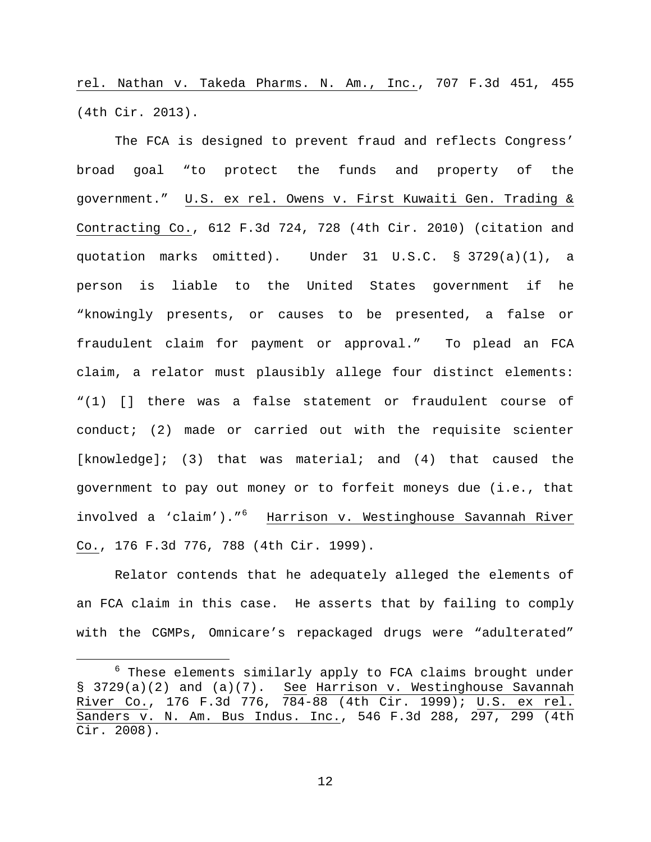rel. Nathan v. Takeda Pharms. N. Am., Inc., 707 F.3d 451, 455 (4th Cir. 2013).

The FCA is designed to prevent fraud and reflects Congress' broad goal "to protect the funds and property of the government." U.S. ex rel. Owens v. First Kuwaiti Gen. Trading & Contracting Co., 612 F.3d 724, 728 (4th Cir. 2010) (citation and quotation marks omitted). Under 31 U.S.C. § 3729(a)(1), a person is liable to the United States government if he "knowingly presents, or causes to be presented, a false or fraudulent claim for payment or approval." To plead an FCA claim, a relator must plausibly allege four distinct elements: "(1) [] there was a false statement or fraudulent course of conduct; (2) made or carried out with the requisite scienter  $[knowledqe];$  (3) that was material; and (4) that caused the government to pay out money or to forfeit moneys due (i.e., that involved a 'claim')."<sup>[6](#page-11-0)</sup> Harrison v. Westinghouse Savannah River Co., 176 F.3d 776, 788 (4th Cir. 1999).

Relator contends that he adequately alleged the elements of an FCA claim in this case. He asserts that by failing to comply with the CGMPs, Omnicare's repackaged drugs were "adulterated"

<span id="page-11-0"></span> $6$  These elements similarly apply to FCA claims brought under § 3729(a)(2) and (a)(7). See Harrison v. Westinghouse Savannah River Co., 176 F.3d 776, 784-88 (4th Cir. 1999); U.S. ex rel. Sanders v. N. Am. Bus Indus. Inc., 546 F.3d 288, 297, 299 (4th Cir. 2008).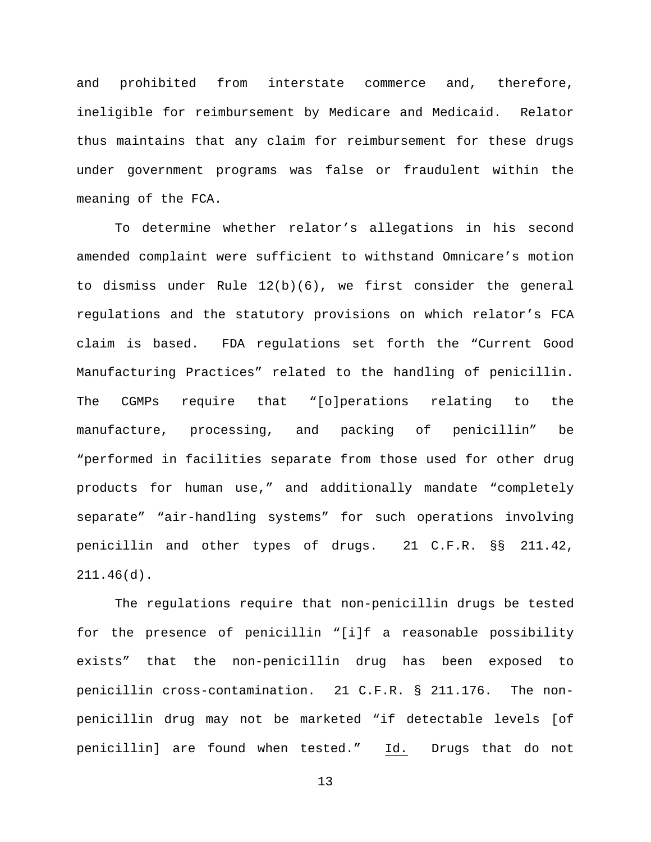and prohibited from interstate commerce and, therefore, ineligible for reimbursement by Medicare and Medicaid. Relator thus maintains that any claim for reimbursement for these drugs under government programs was false or fraudulent within the meaning of the FCA.

To determine whether relator's allegations in his second amended complaint were sufficient to withstand Omnicare's motion to dismiss under Rule 12(b)(6), we first consider the general regulations and the statutory provisions on which relator's FCA claim is based. FDA regulations set forth the "Current Good Manufacturing Practices" related to the handling of penicillin. The CGMPs require that "[o]perations relating to the manufacture, processing, and packing of penicillin" be "performed in facilities separate from those used for other drug products for human use," and additionally mandate "completely separate" "air-handling systems" for such operations involving penicillin and other types of drugs. 21 C.F.R. §§ 211.42, 211.46(d).

The regulations require that non-penicillin drugs be tested for the presence of penicillin "[i]f a reasonable possibility exists" that the non-penicillin drug has been exposed to penicillin cross-contamination. 21 C.F.R. § 211.176. The nonpenicillin drug may not be marketed "if detectable levels [of penicillin] are found when tested." Id. Drugs that do not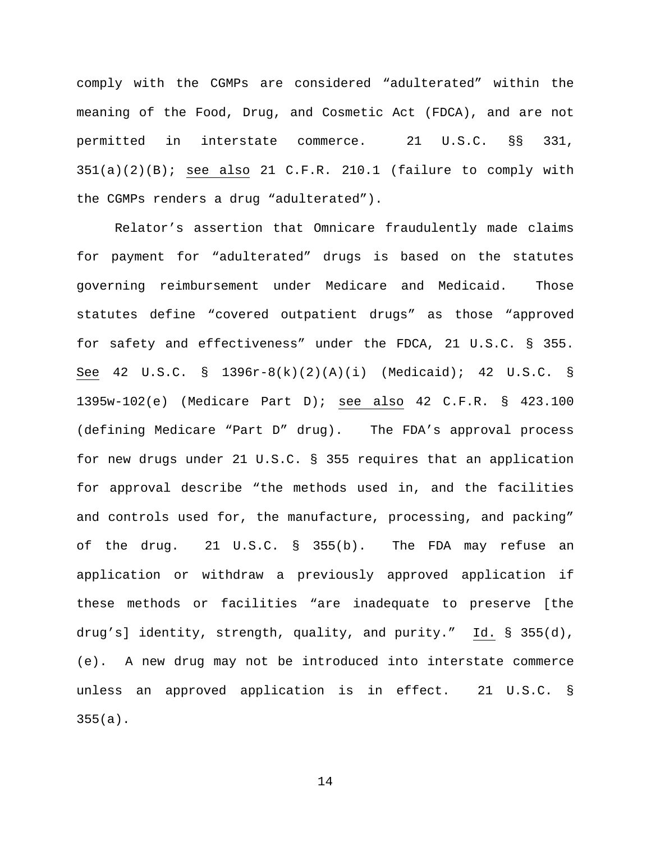comply with the CGMPs are considered "adulterated" within the meaning of the Food, Drug, and Cosmetic Act (FDCA), and are not permitted in interstate commerce. 21 U.S.C. §§ 331,  $351(a)(2)(B)$ ; see also 21 C.F.R. 210.1 (failure to comply with the CGMPs renders a drug "adulterated").

Relator's assertion that Omnicare fraudulently made claims for payment for "adulterated" drugs is based on the statutes governing reimbursement under Medicare and Medicaid. Those statutes define "covered outpatient drugs" as those "approved for safety and effectiveness" under the FDCA, 21 U.S.C. § 355. See 42 U.S.C. § 1396r-8(k)(2)(A)(i) (Medicaid); 42 U.S.C. § 1395w-102(e) (Medicare Part D); see also 42 C.F.R. § 423.100 (defining Medicare "Part D" drug). The FDA's approval process for new drugs under 21 U.S.C. § 355 requires that an application for approval describe "the methods used in, and the facilities and controls used for, the manufacture, processing, and packing" of the drug. 21 U.S.C. § 355(b). The FDA may refuse an application or withdraw a previously approved application if these methods or facilities "are inadequate to preserve [the drug's] identity, strength, quality, and purity." Id. § 355(d), (e). A new drug may not be introduced into interstate commerce unless an approved application is in effect. 21 U.S.C. § 355(a).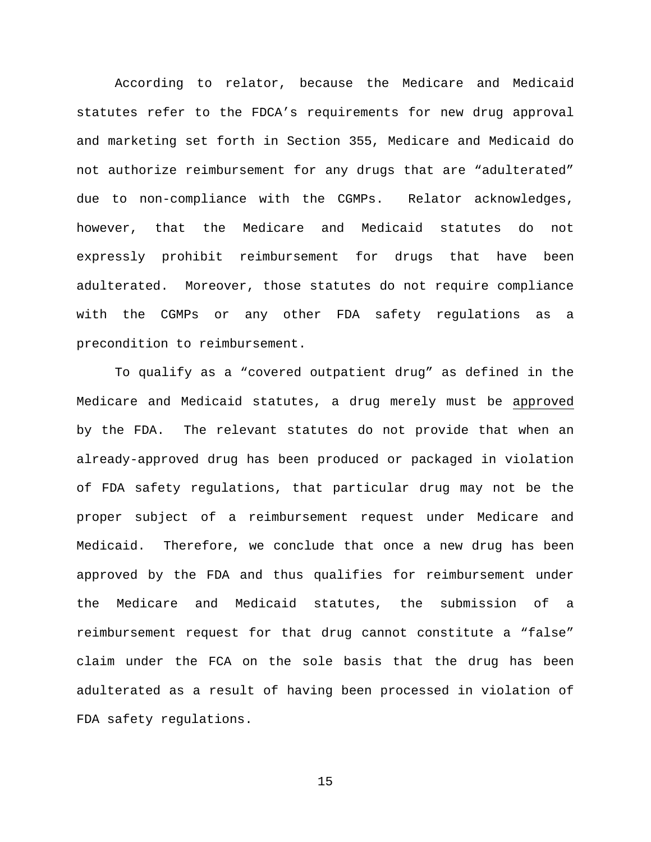According to relator, because the Medicare and Medicaid statutes refer to the FDCA's requirements for new drug approval and marketing set forth in Section 355, Medicare and Medicaid do not authorize reimbursement for any drugs that are "adulterated" due to non-compliance with the CGMPs. Relator acknowledges, however, that the Medicare and Medicaid statutes do not expressly prohibit reimbursement for drugs that have been adulterated. Moreover, those statutes do not require compliance with the CGMPs or any other FDA safety regulations as a precondition to reimbursement.

To qualify as a "covered outpatient drug" as defined in the Medicare and Medicaid statutes, a drug merely must be approved by the FDA. The relevant statutes do not provide that when an already-approved drug has been produced or packaged in violation of FDA safety regulations, that particular drug may not be the proper subject of a reimbursement request under Medicare and Medicaid. Therefore, we conclude that once a new drug has been approved by the FDA and thus qualifies for reimbursement under the Medicare and Medicaid statutes, the submission of a reimbursement request for that drug cannot constitute a "false" claim under the FCA on the sole basis that the drug has been adulterated as a result of having been processed in violation of FDA safety regulations.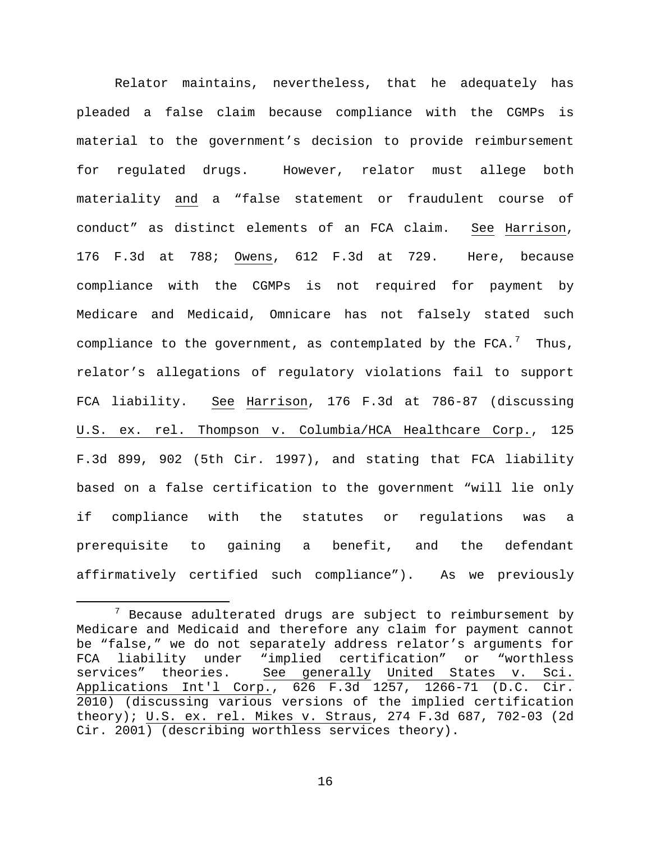Relator maintains, nevertheless, that he adequately has pleaded a false claim because compliance with the CGMPs is material to the government's decision to provide reimbursement for regulated drugs. However, relator must allege both materiality and a "false statement or fraudulent course of conduct" as distinct elements of an FCA claim. See Harrison, 176 F.3d at 788; Owens, 612 F.3d at 729. Here, because compliance with the CGMPs is not required for payment by Medicare and Medicaid, Omnicare has not falsely stated such compliance to the government, as contemplated by the  $FCA.^7$  $FCA.^7$  Thus, relator's allegations of regulatory violations fail to support FCA liability. See Harrison, 176 F.3d at 786-87 (discussing U.S. ex. rel. Thompson v. Columbia/HCA Healthcare Corp., 125 F.3d 899, 902 (5th Cir. 1997), and stating that FCA liability based on a false certification to the government "will lie only if compliance with the statutes or regulations was a prerequisite to gaining a benefit, and the defendant affirmatively certified such compliance"). As we previously

<span id="page-15-0"></span> $7$  Because adulterated drugs are subject to reimbursement by Medicare and Medicaid and therefore any claim for payment cannot be "false," we do not separately address relator's arguments for FCA liability under "implied certification" or "worthless<br>services" theories. See qenerally United States v. Sci. See generally United States v. Sci. Applications Int'l Corp., 626 F.3d 1257, 1266-71 (D.C. Cir. 2010) (discussing various versions of the implied certification theory); U.S. ex. rel. Mikes v. Straus, 274 F.3d 687, 702-03 (2d Cir. 2001) (describing worthless services theory).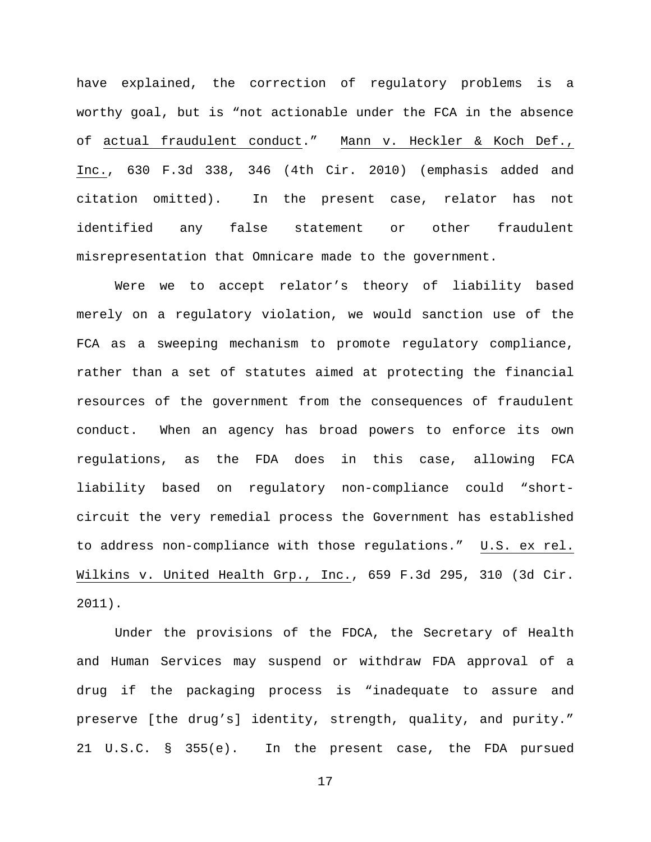have explained, the correction of regulatory problems is a worthy goal, but is "not actionable under the FCA in the absence of actual fraudulent conduct." Mann v. Heckler & Koch Def., Inc., 630 F.3d 338, 346 (4th Cir. 2010) (emphasis added and citation omitted). In the present case, relator has not identified any false statement or other fraudulent misrepresentation that Omnicare made to the government.

Were we to accept relator's theory of liability based merely on a regulatory violation, we would sanction use of the FCA as a sweeping mechanism to promote regulatory compliance, rather than a set of statutes aimed at protecting the financial resources of the government from the consequences of fraudulent conduct. When an agency has broad powers to enforce its own regulations, as the FDA does in this case, allowing FCA liability based on regulatory non-compliance could "shortcircuit the very remedial process the Government has established to address non-compliance with those regulations." U.S. ex rel. Wilkins v. United Health Grp., Inc., 659 F.3d 295, 310 (3d Cir. 2011).

Under the provisions of the FDCA, the Secretary of Health and Human Services may suspend or withdraw FDA approval of a drug if the packaging process is "inadequate to assure and preserve [the drug's] identity, strength, quality, and purity." 21 U.S.C. § 355(e). In the present case, the FDA pursued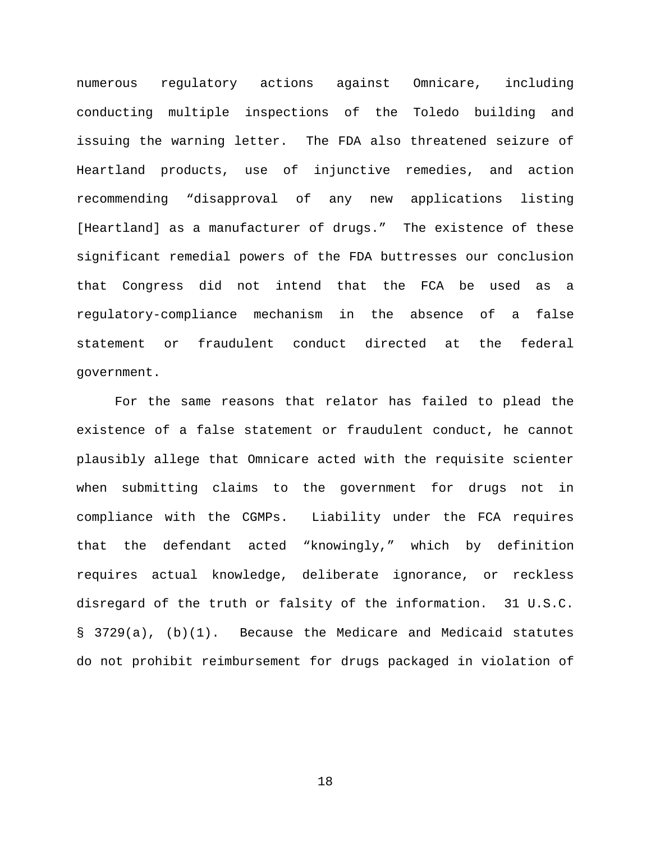numerous regulatory actions against Omnicare, including conducting multiple inspections of the Toledo building and issuing the warning letter. The FDA also threatened seizure of Heartland products, use of injunctive remedies, and action recommending "disapproval of any new applications listing [Heartland] as a manufacturer of drugs." The existence of these significant remedial powers of the FDA buttresses our conclusion that Congress did not intend that the FCA be used as a regulatory-compliance mechanism in the absence of a false statement or fraudulent conduct directed at the federal government.

For the same reasons that relator has failed to plead the existence of a false statement or fraudulent conduct, he cannot plausibly allege that Omnicare acted with the requisite scienter when submitting claims to the government for drugs not in compliance with the CGMPs. Liability under the FCA requires that the defendant acted "knowingly," which by definition requires actual knowledge, deliberate ignorance, or reckless disregard of the truth or falsity of the information. 31 U.S.C. § 3729(a), (b)(1). Because the Medicare and Medicaid statutes do not prohibit reimbursement for drugs packaged in violation of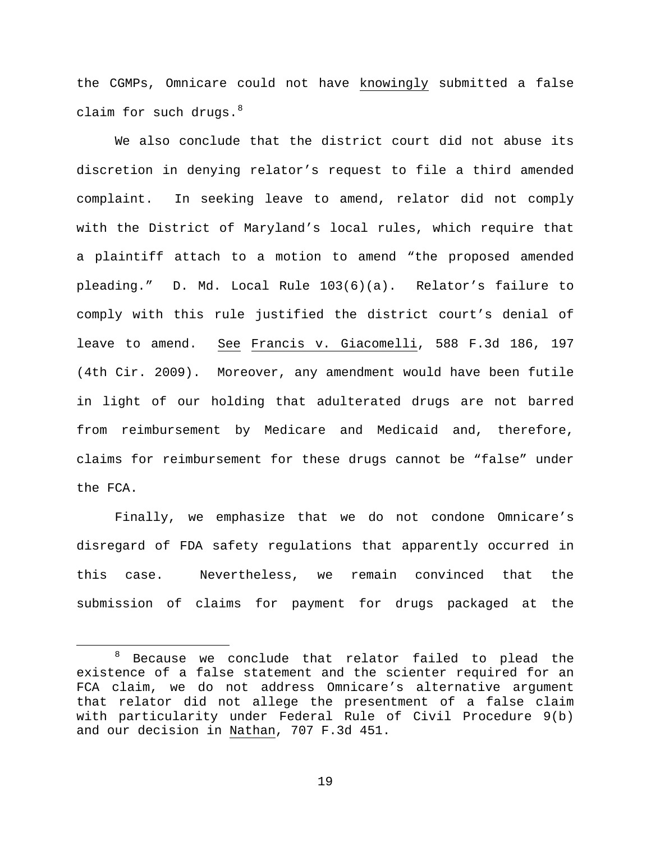the CGMPs, Omnicare could not have knowingly submitted a false claim for such drugs.  $8<sup>8</sup>$  $8<sup>8</sup>$ 

We also conclude that the district court did not abuse its discretion in denying relator's request to file a third amended complaint. In seeking leave to amend, relator did not comply with the District of Maryland's local rules, which require that a plaintiff attach to a motion to amend "the proposed amended pleading." D. Md. Local Rule 103(6)(a). Relator's failure to comply with this rule justified the district court's denial of leave to amend. See Francis v. Giacomelli, 588 F.3d 186, 197 (4th Cir. 2009). Moreover, any amendment would have been futile in light of our holding that adulterated drugs are not barred from reimbursement by Medicare and Medicaid and, therefore, claims for reimbursement for these drugs cannot be "false" under the FCA.

Finally, we emphasize that we do not condone Omnicare's disregard of FDA safety regulations that apparently occurred in this case. Nevertheless, we remain convinced that the submission of claims for payment for drugs packaged at the

<span id="page-18-0"></span> <sup>8</sup> Because we conclude that relator failed to plead the existence of a false statement and the scienter required for an FCA claim, we do not address Omnicare's alternative argument that relator did not allege the presentment of a false claim with particularity under Federal Rule of Civil Procedure 9(b) and our decision in Nathan, 707 F.3d 451.